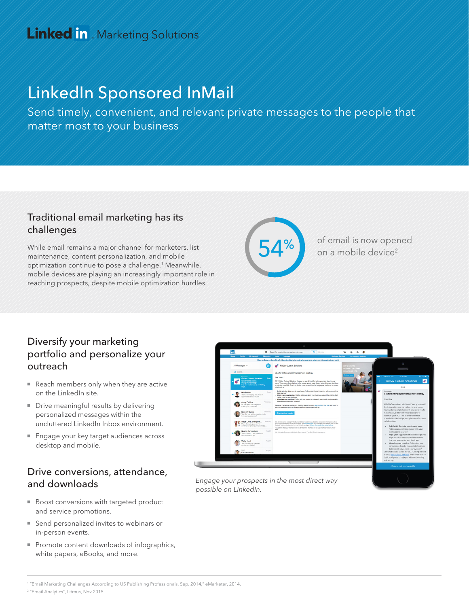# LinkedIn Sponsored InMail

Send timely, convenient, and relevant private messages to the people that matter most to your business

### Traditional email marketing has its challenges

While email remains a major channel for marketers, list maintenance, content personalization, and mobile optimization continue to pose a challenge.1 Meanwhile, mobile devices are playing an increasingly important role in reaching prospects, despite mobile optimization hurdles.



of email is now opened on a mobile device<sup>2</sup>

### Diversify your marketing portfolio and personalize your outreach

- Reach members only when they are active on the LinkedIn site.
- Drive meaningful results by delivering personalized messages within the uncluttered LinkedIn Inbox environment.
- **Engage your key target audiences across** desktop and mobile.

### Drive conversions, attendance, and downloads

- Boost conversions with targeted product and service promotions.
- Send personalized invites to webinars or in-person events.
- Promote content downloads of infographics, white papers, eBooks, and more.



Engage your prospects in the most direct way possible on LinkedIn.

2 "Email Analytics", Litmus, Nov 2015.

<sup>1 &</sup>quot;Email Marketing Challenges According to US Publishing Professionals, Sep. 2014," eMarketer, 2014.